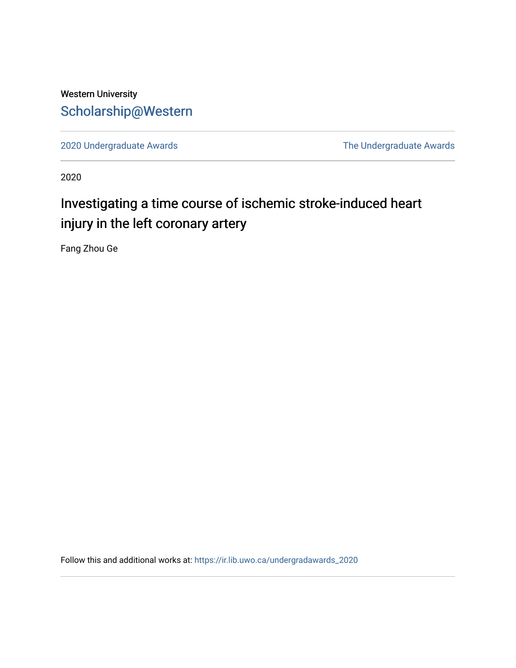# Western University [Scholarship@Western](https://ir.lib.uwo.ca/)

[2020 Undergraduate Awards](https://ir.lib.uwo.ca/undergradawards_2020) [The Undergraduate Awards](https://ir.lib.uwo.ca/ungradawards) 

2020

# Investigating a time course of ischemic stroke-induced heart injury in the left coronary artery

Fang Zhou Ge

Follow this and additional works at: [https://ir.lib.uwo.ca/undergradawards\\_2020](https://ir.lib.uwo.ca/undergradawards_2020?utm_source=ir.lib.uwo.ca%2Fundergradawards_2020%2F14&utm_medium=PDF&utm_campaign=PDFCoverPages)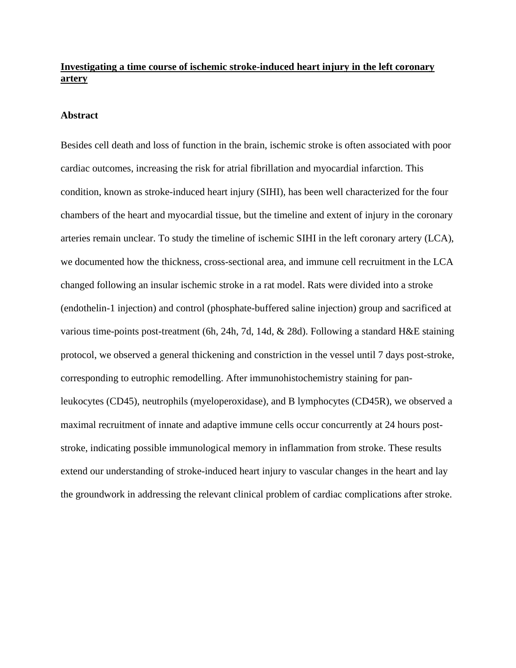# **Investigating a time course of ischemic stroke-induced heart injury in the left coronary artery**

#### **Abstract**

Besides cell death and loss of function in the brain, ischemic stroke is often associated with poor cardiac outcomes, increasing the risk for atrial fibrillation and myocardial infarction. This condition, known as stroke-induced heart injury (SIHI), has been well characterized for the four chambers of the heart and myocardial tissue, but the timeline and extent of injury in the coronary arteries remain unclear. To study the timeline of ischemic SIHI in the left coronary artery (LCA), we documented how the thickness, cross-sectional area, and immune cell recruitment in the LCA changed following an insular ischemic stroke in a rat model. Rats were divided into a stroke (endothelin-1 injection) and control (phosphate-buffered saline injection) group and sacrificed at various time-points post-treatment (6h, 24h, 7d, 14d, & 28d). Following a standard H&E staining protocol, we observed a general thickening and constriction in the vessel until 7 days post-stroke, corresponding to eutrophic remodelling. After immunohistochemistry staining for panleukocytes (CD45), neutrophils (myeloperoxidase), and B lymphocytes (CD45R), we observed a maximal recruitment of innate and adaptive immune cells occur concurrently at 24 hours poststroke, indicating possible immunological memory in inflammation from stroke. These results extend our understanding of stroke-induced heart injury to vascular changes in the heart and lay the groundwork in addressing the relevant clinical problem of cardiac complications after stroke.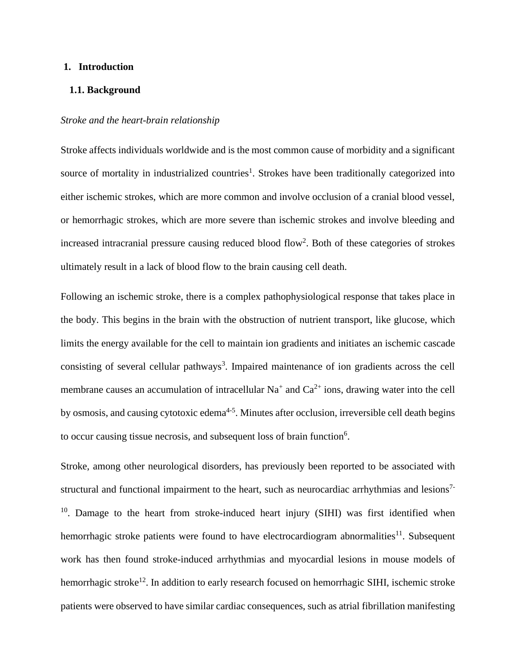#### **1. Introduction**

# **1.1. Background**

#### *Stroke and the heart-brain relationship*

Stroke affects individuals worldwide and is the most common cause of morbidity and a significant source of mortality in industrialized countries<sup>1</sup>. Strokes have been traditionally categorized into either ischemic strokes, which are more common and involve occlusion of a cranial blood vessel, or hemorrhagic strokes, which are more severe than ischemic strokes and involve bleeding and increased intracranial pressure causing reduced blood flow<sup>2</sup>. Both of these categories of strokes ultimately result in a lack of blood flow to the brain causing cell death.

Following an ischemic stroke, there is a complex pathophysiological response that takes place in the body. This begins in the brain with the obstruction of nutrient transport, like glucose, which limits the energy available for the cell to maintain ion gradients and initiates an ischemic cascade consisting of several cellular pathways<sup>3</sup>. Impaired maintenance of ion gradients across the cell membrane causes an accumulation of intracellular  $Na<sup>+</sup>$  and  $Ca<sup>2+</sup>$  ions, drawing water into the cell by osmosis, and causing cytotoxic edema<sup>4-5</sup>. Minutes after occlusion, irreversible cell death begins to occur causing tissue necrosis, and subsequent loss of brain function<sup>6</sup>.

Stroke, among other neurological disorders, has previously been reported to be associated with structural and functional impairment to the heart, such as neurocardiac arrhythmias and lesions<sup>7-</sup> <sup>10</sup>. Damage to the heart from stroke-induced heart injury (SIHI) was first identified when hemorrhagic stroke patients were found to have electrocardiogram abnormalities $^{11}$ . Subsequent work has then found stroke-induced arrhythmias and myocardial lesions in mouse models of hemorrhagic stroke<sup>12</sup>. In addition to early research focused on hemorrhagic SIHI, ischemic stroke patients were observed to have similar cardiac consequences, such as atrial fibrillation manifesting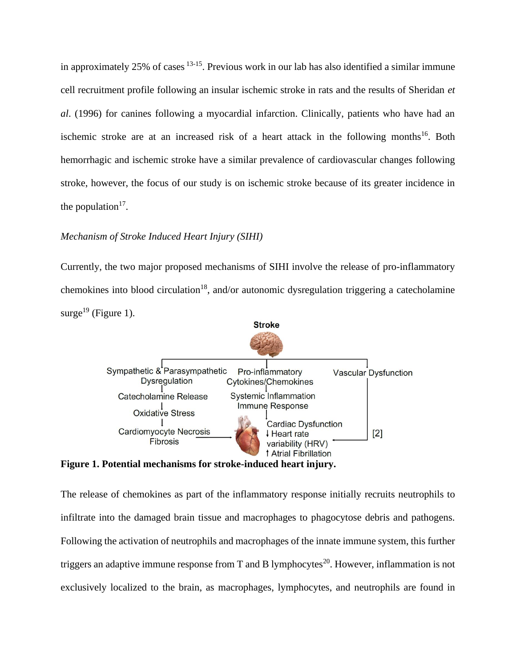in approximately 25% of cases <sup>13-15</sup>. Previous work in our lab has also identified a similar immune cell recruitment profile following an insular ischemic stroke in rats and the results of Sheridan *et al*. (1996) for canines following a myocardial infarction. Clinically, patients who have had an ischemic stroke are at an increased risk of a heart attack in the following months<sup>16</sup>. Both hemorrhagic and ischemic stroke have a similar prevalence of cardiovascular changes following stroke, however, the focus of our study is on ischemic stroke because of its greater incidence in the population<sup>17</sup>.

# *Mechanism of Stroke Induced Heart Injury (SIHI)*

Currently, the two major proposed mechanisms of SIHI involve the release of pro-inflammatory chemokines into blood circulation<sup>18</sup>, and/or autonomic dysregulation triggering a catecholamine surge<sup>19</sup> (Figure 1).



**Figure 1. Potential mechanisms for stroke-induced heart injury.** 

The release of chemokines as part of the inflammatory response initially recruits neutrophils to infiltrate into the damaged brain tissue and macrophages to phagocytose debris and pathogens. Following the activation of neutrophils and macrophages of the innate immune system, this further triggers an adaptive immune response from T and B lymphocytes<sup>20</sup>. However, inflammation is not exclusively localized to the brain, as macrophages, lymphocytes, and neutrophils are found in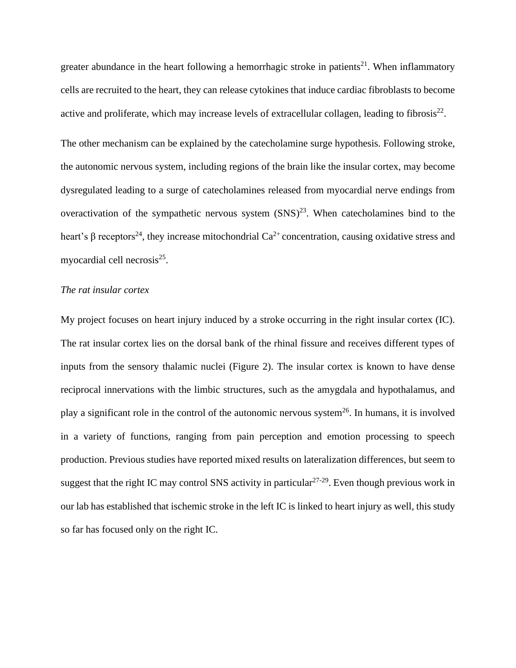greater abundance in the heart following a hemorrhagic stroke in patients<sup>21</sup>. When inflammatory cells are recruited to the heart, they can release cytokines that induce cardiac fibroblasts to become active and proliferate, which may increase levels of extracellular collagen, leading to fibrosis $^{22}$ .

The other mechanism can be explained by the catecholamine surge hypothesis. Following stroke, the autonomic nervous system, including regions of the brain like the insular cortex, may become dysregulated leading to a surge of catecholamines released from myocardial nerve endings from overactivation of the sympathetic nervous system  $(SNS)^{23}$ . When catecholamines bind to the heart's β receptors<sup>24</sup>, they increase mitochondrial  $Ca^{2+}$  concentration, causing oxidative stress and myocardial cell necrosis<sup>25</sup>.

# *The rat insular cortex*

My project focuses on heart injury induced by a stroke occurring in the right insular cortex (IC). The rat insular cortex lies on the dorsal bank of the rhinal fissure and receives different types of inputs from the sensory thalamic nuclei (Figure 2). The insular cortex is known to have dense reciprocal innervations with the limbic structures, such as the amygdala and hypothalamus, and play a significant role in the control of the autonomic nervous system<sup>26</sup>. In humans, it is involved in a variety of functions, ranging from pain perception and emotion processing to speech production. Previous studies have reported mixed results on lateralization differences, but seem to suggest that the right IC may control SNS activity in particular  $27-29$ . Even though previous work in our lab has established that ischemic stroke in the left IC is linked to heart injury as well, this study so far has focused only on the right IC.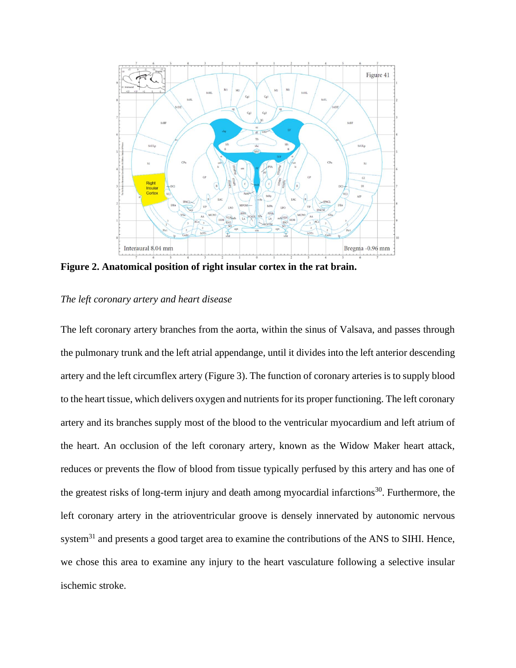

**Figure 2. Anatomical position of right insular cortex in the rat brain.**

# *The left coronary artery and heart disease*

The left coronary artery branches from the aorta, within the sinus of Valsava, and passes through the pulmonary trunk and the left atrial appendange, until it divides into the left anterior descending artery and the left circumflex artery (Figure 3). The function of coronary arteries is to supply blood to the heart tissue, which delivers oxygen and nutrients for its proper functioning. The left coronary artery and its branches supply most of the blood to the ventricular myocardium and left atrium of the heart. An occlusion of the left coronary artery, known as the Widow Maker heart attack, reduces or prevents the flow of blood from tissue typically perfused by this artery and has one of the greatest risks of long-term injury and death among myocardial infarctions<sup>30</sup>. Furthermore, the left coronary artery in the atrioventricular groove is densely innervated by autonomic nervous system $31$  and presents a good target area to examine the contributions of the ANS to SIHI. Hence, we chose this area to examine any injury to the heart vasculature following a selective insular ischemic stroke.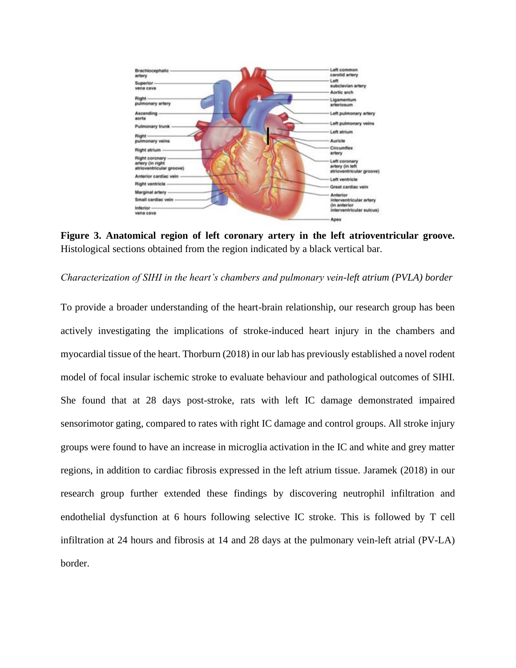

**Figure 3. Anatomical region of left coronary artery in the left atrioventricular groove.**  Histological sections obtained from the region indicated by a black vertical bar.

*Characterization of SIHI in the heart's chambers and pulmonary vein-left atrium (PVLA) border*

To provide a broader understanding of the heart-brain relationship, our research group has been actively investigating the implications of stroke-induced heart injury in the chambers and myocardial tissue of the heart. Thorburn (2018) in our lab has previously established a novel rodent model of focal insular ischemic stroke to evaluate behaviour and pathological outcomes of SIHI. She found that at 28 days post-stroke, rats with left IC damage demonstrated impaired sensorimotor gating, compared to rates with right IC damage and control groups. All stroke injury groups were found to have an increase in microglia activation in the IC and white and grey matter regions, in addition to cardiac fibrosis expressed in the left atrium tissue. Jaramek (2018) in our research group further extended these findings by discovering neutrophil infiltration and endothelial dysfunction at 6 hours following selective IC stroke. This is followed by T cell infiltration at 24 hours and fibrosis at 14 and 28 days at the pulmonary vein-left atrial (PV-LA) border.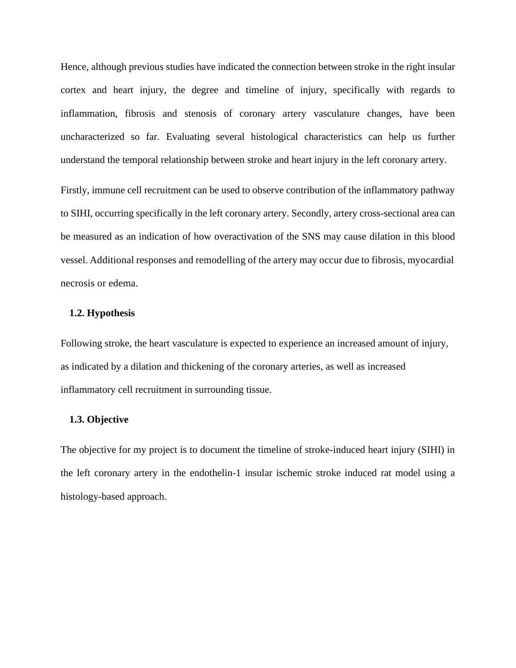Hence, although previous studies have indicated the connection between stroke in the right insular cortex and heart injury, the degree and timeline of injury, specifically with regards to inflammation, fibrosis and stenosis of coronary artery vasculature changes, have been uncharacterized so far. Evaluating several histological characteristics can help us further understand the temporal relationship between stroke and heart injury in the left coronary artery.

Firstly, immune cell recruitment can be used to observe contribution of the inflammatory pathway to SIHI, occurring specifically in the left coronary artery. Secondly, artery cross-sectional area can be measured as an indication of how overactivation of the SNS may cause dilation in this blood vessel. Additional responses and remodelling of the artery may occur due to fibrosis, myocardial necrosis or edema.

# **1.2. Hypothesis**

Following stroke, the heart vasculature is expected to experience an increased amount of injury, as indicated by a dilation and thickening of the coronary arteries, as well as increased inflammatory cell recruitment in surrounding tissue.

# **1.3. Objective**

The objective for my project is to document the timeline of stroke-induced heart injury (SIHI) in the left coronary artery in the endothelin-1 insular ischemic stroke induced rat model using a histology-based approach.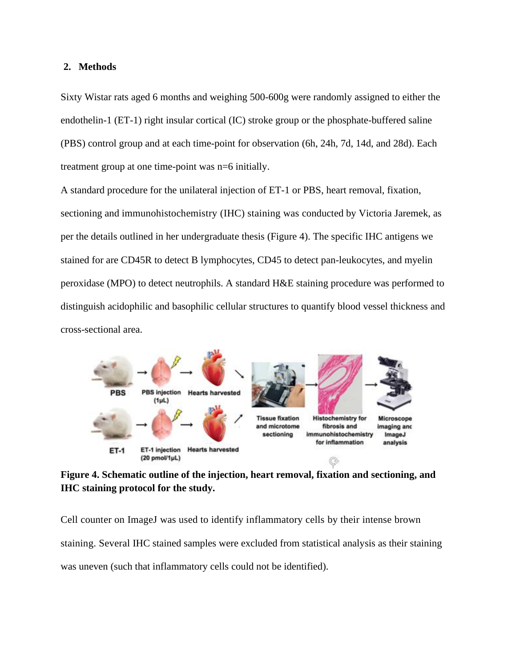## **2. Methods**

Sixty Wistar rats aged 6 months and weighing 500-600g were randomly assigned to either the endothelin-1 (ET-1) right insular cortical (IC) stroke group or the phosphate-buffered saline (PBS) control group and at each time-point for observation (6h, 24h, 7d, 14d, and 28d). Each treatment group at one time-point was n=6 initially.

A standard procedure for the unilateral injection of ET-1 or PBS, heart removal, fixation, sectioning and immunohistochemistry (IHC) staining was conducted by Victoria Jaremek, as per the details outlined in her undergraduate thesis (Figure 4). The specific IHC antigens we stained for are CD45R to detect B lymphocytes, CD45 to detect pan-leukocytes, and myelin peroxidase (MPO) to detect neutrophils. A standard H&E staining procedure was performed to distinguish acidophilic and basophilic cellular structures to quantify blood vessel thickness and cross-sectional area.



**Figure 4. Schematic outline of the injection, heart removal, fixation and sectioning, and IHC staining protocol for the study.**

Cell counter on ImageJ was used to identify inflammatory cells by their intense brown staining. Several IHC stained samples were excluded from statistical analysis as their staining was uneven (such that inflammatory cells could not be identified).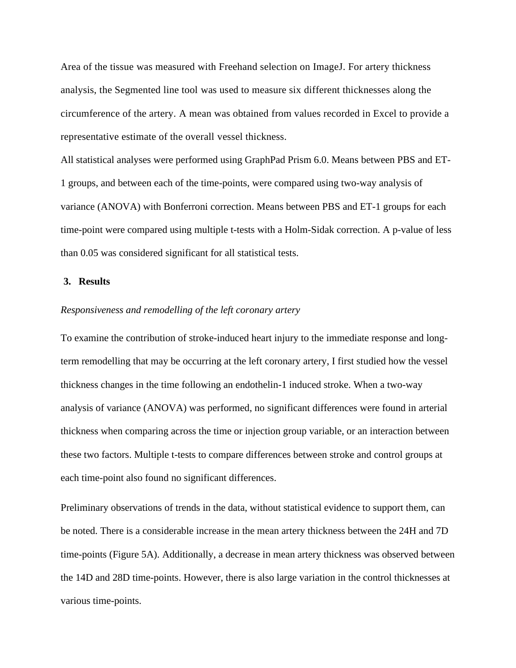Area of the tissue was measured with Freehand selection on ImageJ. For artery thickness analysis, the Segmented line tool was used to measure six different thicknesses along the circumference of the artery. A mean was obtained from values recorded in Excel to provide a representative estimate of the overall vessel thickness.

All statistical analyses were performed using GraphPad Prism 6.0. Means between PBS and ET-1 groups, and between each of the time-points, were compared using two-way analysis of variance (ANOVA) with Bonferroni correction. Means between PBS and ET-1 groups for each time-point were compared using multiple t-tests with a Holm-Sidak correction. A p-value of less than 0.05 was considered significant for all statistical tests.

# **3. Results**

#### *Responsiveness and remodelling of the left coronary artery*

To examine the contribution of stroke-induced heart injury to the immediate response and longterm remodelling that may be occurring at the left coronary artery, I first studied how the vessel thickness changes in the time following an endothelin-1 induced stroke. When a two-way analysis of variance (ANOVA) was performed, no significant differences were found in arterial thickness when comparing across the time or injection group variable, or an interaction between these two factors. Multiple t-tests to compare differences between stroke and control groups at each time-point also found no significant differences.

Preliminary observations of trends in the data, without statistical evidence to support them, can be noted. There is a considerable increase in the mean artery thickness between the 24H and 7D time-points (Figure 5A). Additionally, a decrease in mean artery thickness was observed between the 14D and 28D time-points. However, there is also large variation in the control thicknesses at various time-points.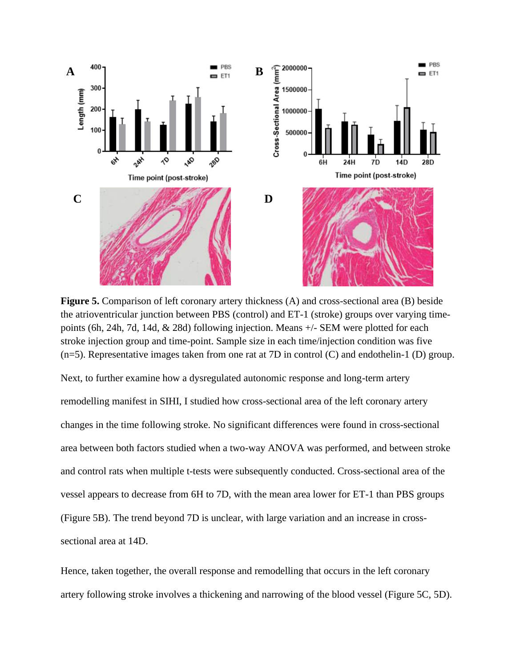

**Figure 5.** Comparison of left coronary artery thickness (A) and cross-sectional area (B) beside the atrioventricular junction between PBS (control) and ET-1 (stroke) groups over varying timepoints (6h, 24h, 7d, 14d, & 28d) following injection. Means +/- SEM were plotted for each stroke injection group and time-point. Sample size in each time/injection condition was five  $(n=5)$ . Representative images taken from one rat at 7D in control (C) and endothelin-1 (D) group.

Next, to further examine how a dysregulated autonomic response and long-term artery remodelling manifest in SIHI, I studied how cross-sectional area of the left coronary artery changes in the time following stroke. No significant differences were found in cross-sectional area between both factors studied when a two-way ANOVA was performed, and between stroke and control rats when multiple t-tests were subsequently conducted. Cross-sectional area of the vessel appears to decrease from 6H to 7D, with the mean area lower for ET-1 than PBS groups (Figure 5B). The trend beyond 7D is unclear, with large variation and an increase in crosssectional area at 14D.

Hence, taken together, the overall response and remodelling that occurs in the left coronary artery following stroke involves a thickening and narrowing of the blood vessel (Figure 5C, 5D).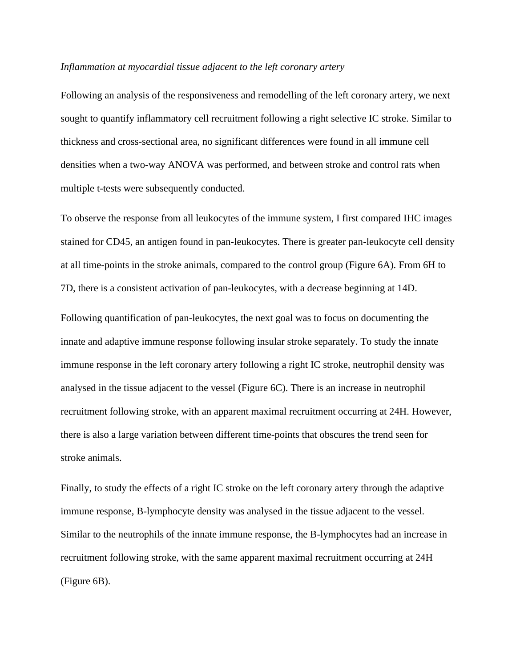# *Inflammation at myocardial tissue adjacent to the left coronary artery*

Following an analysis of the responsiveness and remodelling of the left coronary artery, we next sought to quantify inflammatory cell recruitment following a right selective IC stroke. Similar to thickness and cross-sectional area, no significant differences were found in all immune cell densities when a two-way ANOVA was performed, and between stroke and control rats when multiple t-tests were subsequently conducted.

To observe the response from all leukocytes of the immune system, I first compared IHC images stained for CD45, an antigen found in pan-leukocytes. There is greater pan-leukocyte cell density at all time-points in the stroke animals, compared to the control group (Figure 6A). From 6H to 7D, there is a consistent activation of pan-leukocytes, with a decrease beginning at 14D.

Following quantification of pan-leukocytes, the next goal was to focus on documenting the innate and adaptive immune response following insular stroke separately. To study the innate immune response in the left coronary artery following a right IC stroke, neutrophil density was analysed in the tissue adjacent to the vessel (Figure 6C). There is an increase in neutrophil recruitment following stroke, with an apparent maximal recruitment occurring at 24H. However, there is also a large variation between different time-points that obscures the trend seen for stroke animals.

Finally, to study the effects of a right IC stroke on the left coronary artery through the adaptive immune response, B-lymphocyte density was analysed in the tissue adjacent to the vessel. Similar to the neutrophils of the innate immune response, the B-lymphocytes had an increase in recruitment following stroke, with the same apparent maximal recruitment occurring at 24H (Figure 6B).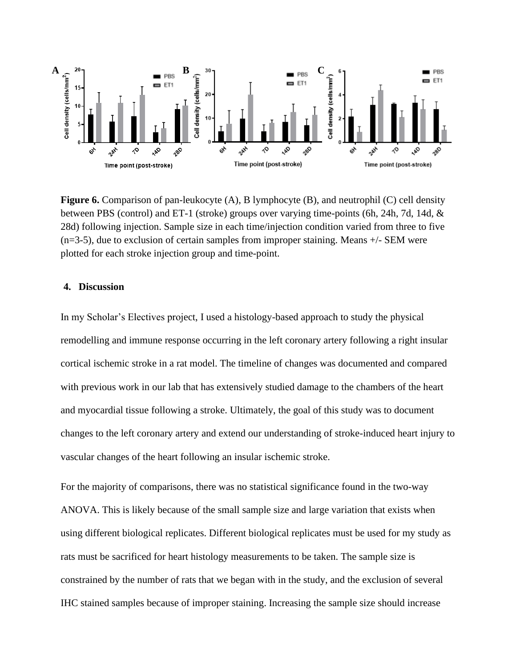

**Figure 6.** Comparison of pan-leukocyte (A), B lymphocyte (B), and neutrophil (C) cell density between PBS (control) and ET-1 (stroke) groups over varying time-points (6h, 24h, 7d, 14d, & 28d) following injection. Sample size in each time/injection condition varied from three to five  $(n=3-5)$ , due to exclusion of certain samples from improper staining. Means  $+/-$  SEM were plotted for each stroke injection group and time-point.

# **4. Discussion**

In my Scholar's Electives project, I used a histology-based approach to study the physical remodelling and immune response occurring in the left coronary artery following a right insular cortical ischemic stroke in a rat model. The timeline of changes was documented and compared with previous work in our lab that has extensively studied damage to the chambers of the heart and myocardial tissue following a stroke. Ultimately, the goal of this study was to document changes to the left coronary artery and extend our understanding of stroke-induced heart injury to vascular changes of the heart following an insular ischemic stroke.

For the majority of comparisons, there was no statistical significance found in the two-way ANOVA. This is likely because of the small sample size and large variation that exists when using different biological replicates. Different biological replicates must be used for my study as rats must be sacrificed for heart histology measurements to be taken. The sample size is constrained by the number of rats that we began with in the study, and the exclusion of several IHC stained samples because of improper staining. Increasing the sample size should increase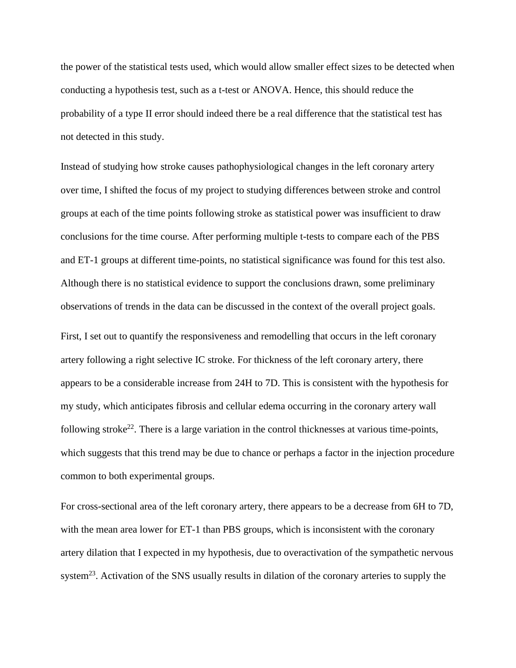the power of the statistical tests used, which would allow smaller effect sizes to be detected when conducting a hypothesis test, such as a t-test or ANOVA. Hence, this should reduce the probability of a type II error should indeed there be a real difference that the statistical test has not detected in this study.

Instead of studying how stroke causes pathophysiological changes in the left coronary artery over time, I shifted the focus of my project to studying differences between stroke and control groups at each of the time points following stroke as statistical power was insufficient to draw conclusions for the time course. After performing multiple t-tests to compare each of the PBS and ET-1 groups at different time-points, no statistical significance was found for this test also. Although there is no statistical evidence to support the conclusions drawn, some preliminary observations of trends in the data can be discussed in the context of the overall project goals.

First, I set out to quantify the responsiveness and remodelling that occurs in the left coronary artery following a right selective IC stroke. For thickness of the left coronary artery, there appears to be a considerable increase from 24H to 7D. This is consistent with the hypothesis for my study, which anticipates fibrosis and cellular edema occurring in the coronary artery wall following stroke<sup>22</sup>. There is a large variation in the control thicknesses at various time-points, which suggests that this trend may be due to chance or perhaps a factor in the injection procedure common to both experimental groups.

For cross-sectional area of the left coronary artery, there appears to be a decrease from 6H to 7D, with the mean area lower for ET-1 than PBS groups, which is inconsistent with the coronary artery dilation that I expected in my hypothesis, due to overactivation of the sympathetic nervous system<sup>23</sup>. Activation of the SNS usually results in dilation of the coronary arteries to supply the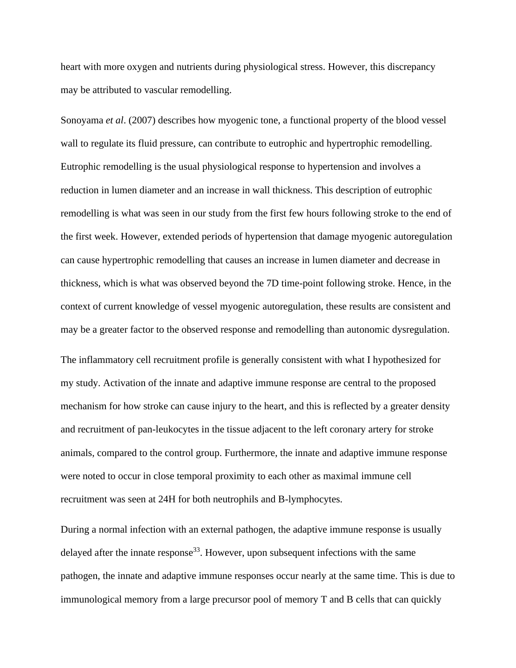heart with more oxygen and nutrients during physiological stress. However, this discrepancy may be attributed to vascular remodelling.

Sonoyama *et al*. (2007) describes how myogenic tone, a functional property of the blood vessel wall to regulate its fluid pressure, can contribute to eutrophic and hypertrophic remodelling. Eutrophic remodelling is the usual physiological response to hypertension and involves a reduction in lumen diameter and an increase in wall thickness. This description of eutrophic remodelling is what was seen in our study from the first few hours following stroke to the end of the first week. However, extended periods of hypertension that damage myogenic autoregulation can cause hypertrophic remodelling that causes an increase in lumen diameter and decrease in thickness, which is what was observed beyond the 7D time-point following stroke. Hence, in the context of current knowledge of vessel myogenic autoregulation, these results are consistent and may be a greater factor to the observed response and remodelling than autonomic dysregulation.

The inflammatory cell recruitment profile is generally consistent with what I hypothesized for my study. Activation of the innate and adaptive immune response are central to the proposed mechanism for how stroke can cause injury to the heart, and this is reflected by a greater density and recruitment of pan-leukocytes in the tissue adjacent to the left coronary artery for stroke animals, compared to the control group. Furthermore, the innate and adaptive immune response were noted to occur in close temporal proximity to each other as maximal immune cell recruitment was seen at 24H for both neutrophils and B-lymphocytes.

During a normal infection with an external pathogen, the adaptive immune response is usually delayed after the innate response<sup>33</sup>. However, upon subsequent infections with the same pathogen, the innate and adaptive immune responses occur nearly at the same time. This is due to immunological memory from a large precursor pool of memory T and B cells that can quickly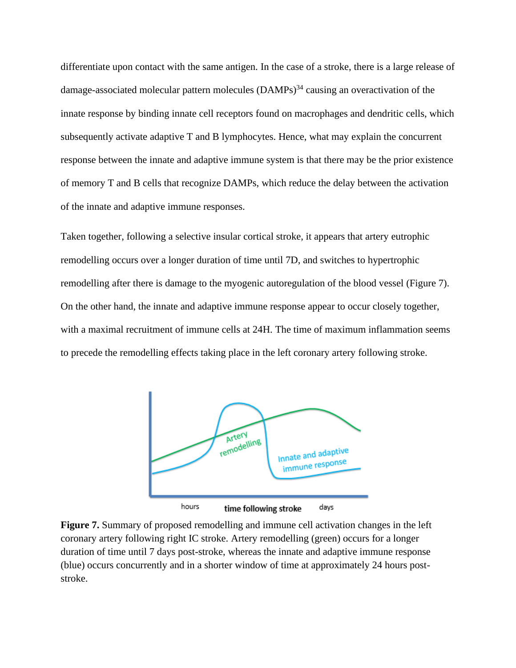differentiate upon contact with the same antigen. In the case of a stroke, there is a large release of damage-associated molecular pattern molecules  $(DAMPs)^{34}$  causing an overactivation of the innate response by binding innate cell receptors found on macrophages and dendritic cells, which subsequently activate adaptive T and B lymphocytes. Hence, what may explain the concurrent response between the innate and adaptive immune system is that there may be the prior existence of memory T and B cells that recognize DAMPs, which reduce the delay between the activation of the innate and adaptive immune responses.

Taken together, following a selective insular cortical stroke, it appears that artery eutrophic remodelling occurs over a longer duration of time until 7D, and switches to hypertrophic remodelling after there is damage to the myogenic autoregulation of the blood vessel (Figure 7). On the other hand, the innate and adaptive immune response appear to occur closely together, with a maximal recruitment of immune cells at 24H. The time of maximum inflammation seems to precede the remodelling effects taking place in the left coronary artery following stroke.



**Figure 7.** Summary of proposed remodelling and immune cell activation changes in the left coronary artery following right IC stroke. Artery remodelling (green) occurs for a longer duration of time until 7 days post-stroke, whereas the innate and adaptive immune response (blue) occurs concurrently and in a shorter window of time at approximately 24 hours poststroke.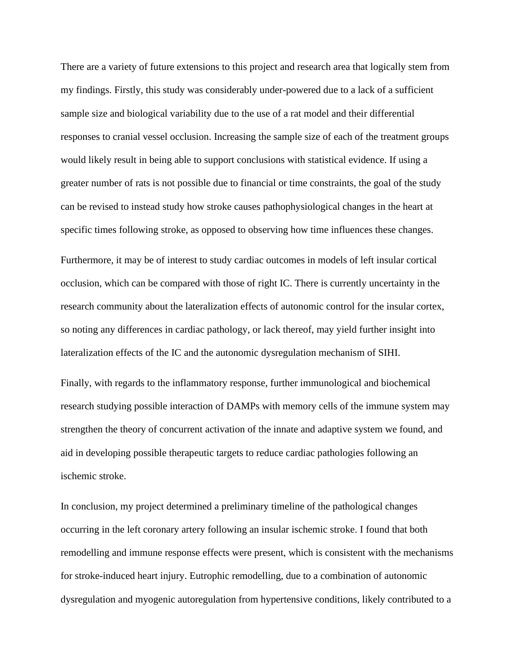There are a variety of future extensions to this project and research area that logically stem from my findings. Firstly, this study was considerably under-powered due to a lack of a sufficient sample size and biological variability due to the use of a rat model and their differential responses to cranial vessel occlusion. Increasing the sample size of each of the treatment groups would likely result in being able to support conclusions with statistical evidence. If using a greater number of rats is not possible due to financial or time constraints, the goal of the study can be revised to instead study how stroke causes pathophysiological changes in the heart at specific times following stroke, as opposed to observing how time influences these changes.

Furthermore, it may be of interest to study cardiac outcomes in models of left insular cortical occlusion, which can be compared with those of right IC. There is currently uncertainty in the research community about the lateralization effects of autonomic control for the insular cortex, so noting any differences in cardiac pathology, or lack thereof, may yield further insight into lateralization effects of the IC and the autonomic dysregulation mechanism of SIHI.

Finally, with regards to the inflammatory response, further immunological and biochemical research studying possible interaction of DAMPs with memory cells of the immune system may strengthen the theory of concurrent activation of the innate and adaptive system we found, and aid in developing possible therapeutic targets to reduce cardiac pathologies following an ischemic stroke.

In conclusion, my project determined a preliminary timeline of the pathological changes occurring in the left coronary artery following an insular ischemic stroke. I found that both remodelling and immune response effects were present, which is consistent with the mechanisms for stroke-induced heart injury. Eutrophic remodelling, due to a combination of autonomic dysregulation and myogenic autoregulation from hypertensive conditions, likely contributed to a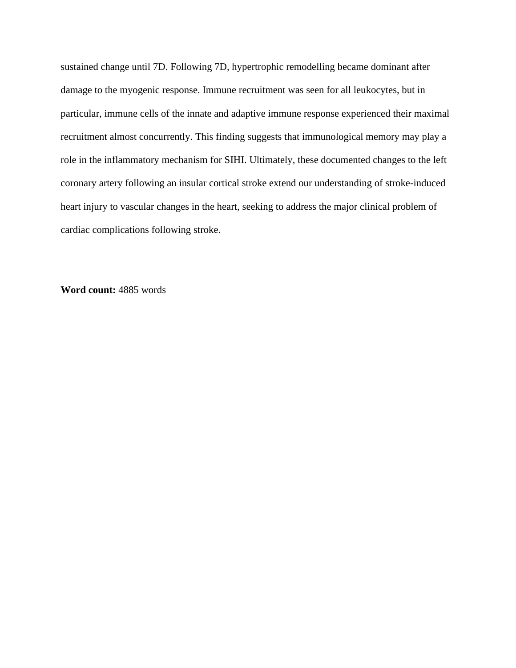sustained change until 7D. Following 7D, hypertrophic remodelling became dominant after damage to the myogenic response. Immune recruitment was seen for all leukocytes, but in particular, immune cells of the innate and adaptive immune response experienced their maximal recruitment almost concurrently. This finding suggests that immunological memory may play a role in the inflammatory mechanism for SIHI. Ultimately, these documented changes to the left coronary artery following an insular cortical stroke extend our understanding of stroke-induced heart injury to vascular changes in the heart, seeking to address the major clinical problem of cardiac complications following stroke.

**Word count:** 4885 words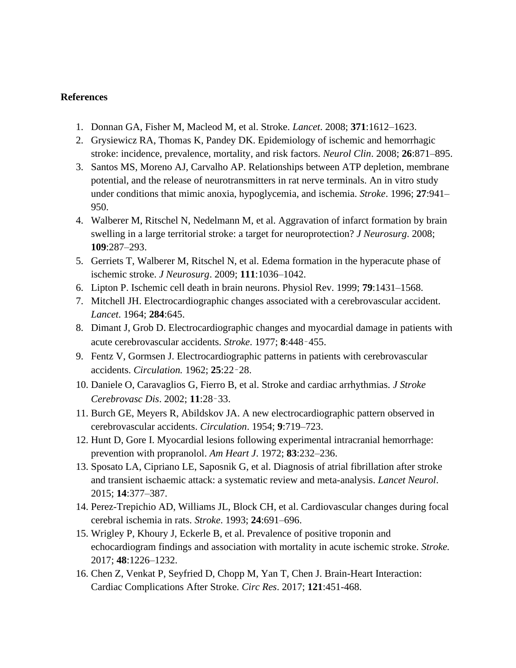# **References**

- 1. Donnan GA, Fisher M, Macleod M, et al. Stroke. *Lancet*. 2008; **371**:1612–1623.
- 2. Grysiewicz RA, Thomas K, Pandey DK. Epidemiology of ischemic and hemorrhagic stroke: incidence, prevalence, mortality, and risk factors. *Neurol Clin*. 2008; **26**:871–895.
- 3. Santos MS, Moreno AJ, Carvalho AP. Relationships between ATP depletion, membrane potential, and the release of neurotransmitters in rat nerve terminals. An in vitro study under conditions that mimic anoxia, hypoglycemia, and ischemia. *Stroke*. 1996; **27**:941– 950.
- 4. Walberer M, Ritschel N, Nedelmann M, et al. Aggravation of infarct formation by brain swelling in a large territorial stroke: a target for neuroprotection? *J Neurosurg*. 2008; **109**:287–293.
- 5. Gerriets T, Walberer M, Ritschel N, et al. Edema formation in the hyperacute phase of ischemic stroke. *J Neurosurg*. 2009; **111**:1036–1042.
- 6. Lipton P. Ischemic cell death in brain neurons. Physiol Rev. 1999; **79**:1431–1568.
- 7. Mitchell JH. Electrocardiographic changes associated with a cerebrovascular accident. *Lancet*. 1964; **284**:645.
- 8. Dimant J, Grob D. Electrocardiographic changes and myocardial damage in patients with acute cerebrovascular accidents. *Stroke*. 1977; **8**:448–455.
- 9. Fentz V, Gormsen J. Electrocardiographic patterns in patients with cerebrovascular accidents. *Circulation.* 1962; **25**:22–28.
- 10. Daniele O, Caravaglios G, Fierro B, et al. Stroke and cardiac arrhythmias. *J Stroke Cerebrovasc Dis*. 2002; **11**:28–33.
- 11. Burch GE, Meyers R, Abildskov JA. A new electrocardiographic pattern observed in cerebrovascular accidents. *Circulation*. 1954; **9**:719–723.
- 12. Hunt D, Gore I. Myocardial lesions following experimental intracranial hemorrhage: prevention with propranolol. *Am Heart J*. 1972; **83**:232–236.
- 13. Sposato LA, Cipriano LE, Saposnik G, et al. Diagnosis of atrial fibrillation after stroke and transient ischaemic attack: a systematic review and meta-analysis. *Lancet Neurol*. 2015; **14**:377–387.
- 14. Perez-Trepichio AD, Williams JL, Block CH, et al. Cardiovascular changes during focal cerebral ischemia in rats. *Stroke*. 1993; **24**:691–696.
- 15. Wrigley P, Khoury J, Eckerle B, et al. Prevalence of positive troponin and echocardiogram findings and association with mortality in acute ischemic stroke. *Stroke.* 2017; **48**:1226–1232.
- 16. Chen Z, Venkat P, Seyfried D, Chopp M, Yan T, Chen J. Brain-Heart Interaction: Cardiac Complications After Stroke. *Circ Res*. 2017; **121**:451-468.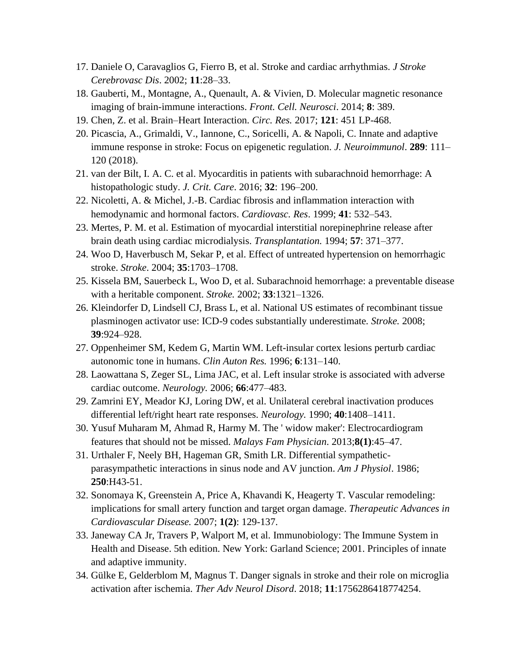- 17. Daniele O, Caravaglios G, Fierro B, et al. Stroke and cardiac arrhythmias. *J Stroke Cerebrovasc Dis*. 2002; **11**:28–33.
- 18. Gauberti, M., Montagne, A., Quenault, A. & Vivien, D. Molecular magnetic resonance imaging of brain-immune interactions. *Front. Cell. Neurosci*. 2014; **8**: 389.
- 19. Chen, Z. et al. Brain–Heart Interaction. *Circ. Res.* 2017; **121**: 451 LP-468.
- 20. Picascia, A., Grimaldi, V., Iannone, C., Soricelli, A. & Napoli, C. Innate and adaptive immune response in stroke: Focus on epigenetic regulation. *J. Neuroimmunol*. **289**: 111– 120 (2018).
- 21. van der Bilt, I. A. C. et al. Myocarditis in patients with subarachnoid hemorrhage: A histopathologic study. *J. Crit. Care*. 2016; **32**: 196–200.
- 22. Nicoletti, A. & Michel, J.-B. Cardiac fibrosis and inflammation interaction with hemodynamic and hormonal factors. *Cardiovasc. Res*. 1999; **41**: 532–543.
- 23. Mertes, P. M. et al. Estimation of myocardial interstitial norepinephrine release after brain death using cardiac microdialysis. *Transplantation.* 1994; **57**: 371–377.
- 24. Woo D, Haverbusch M, Sekar P, et al. Effect of untreated hypertension on hemorrhagic stroke. *Stroke*. 2004; **35**:1703–1708.
- 25. Kissela BM, Sauerbeck L, Woo D, et al. Subarachnoid hemorrhage: a preventable disease with a heritable component. *Stroke.* 2002; **33**:1321–1326.
- 26. Kleindorfer D, Lindsell CJ, Brass L, et al. National US estimates of recombinant tissue plasminogen activator use: ICD-9 codes substantially underestimate*. Stroke.* 2008; **39**:924–928.
- 27. Oppenheimer SM, Kedem G, Martin WM. Left-insular cortex lesions perturb cardiac autonomic tone in humans. *Clin Auton Res.* 1996; **6**:131–140.
- 28. Laowattana S, Zeger SL, Lima JAC, et al. Left insular stroke is associated with adverse cardiac outcome. *Neurology.* 2006; **66**:477–483.
- 29. Zamrini EY, Meador KJ, Loring DW, et al. Unilateral cerebral inactivation produces differential left/right heart rate responses. *Neurology.* 1990; **40**:1408–1411.
- 30. Yusuf Muharam M, Ahmad R, Harmy M. The ' widow maker': Electrocardiogram features that should not be missed. *Malays Fam Physician*. 2013;**8(1)**:45–47.
- 31. Urthaler F, Neely BH, Hageman GR, Smith LR. Differential sympatheticparasympathetic interactions in sinus node and AV junction. *Am J Physiol*. 1986; **250**:H43-51.
- 32. Sonomaya K, Greenstein A, Price A, Khavandi K, Heagerty T. Vascular remodeling: implications for small artery function and target organ damage. *Therapeutic Advances in Cardiovascular Disease.* 2007; **1(2)**: 129-137.
- 33. Janeway CA Jr, Travers P, Walport M, et al. Immunobiology: The Immune System in Health and Disease. 5th edition. New York: Garland Science; 2001. Principles of innate and adaptive immunity.
- 34. Gülke E, Gelderblom M, Magnus T. Danger signals in stroke and their role on microglia activation after ischemia. *Ther Adv Neurol Disord*. 2018; **11**:1756286418774254.